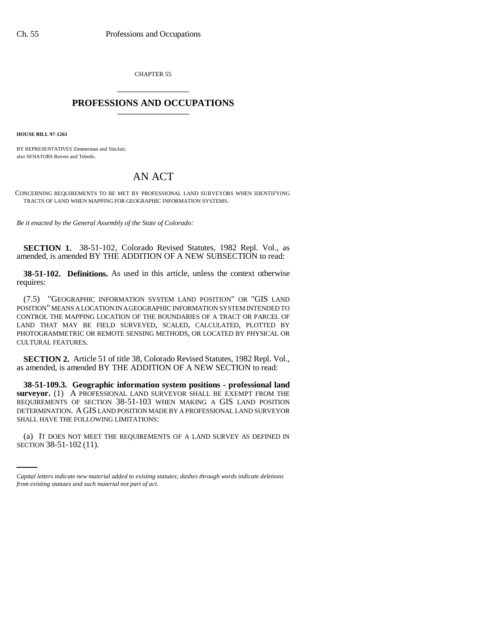CHAPTER 55 \_\_\_\_\_\_\_\_\_\_\_\_\_\_\_

## **PROFESSIONS AND OCCUPATIONS** \_\_\_\_\_\_\_\_\_\_\_\_\_\_\_

**HOUSE BILL 97-1261**

BY REPRESENTATIVES Zimmerman and Sinclair; also SENATORS Reeves and Tebedo.

## AN ACT

CONCERNING REQUIREMENTS TO BE MET BY PROFESSIONAL LAND SURVEYORS WHEN IDENTIFYING TRACTS OF LAND WHEN MAPPING FOR GEOGRAPHIC INFORMATION SYSTEMS.

*Be it enacted by the General Assembly of the State of Colorado:*

**SECTION 1.** 38-51-102, Colorado Revised Statutes, 1982 Repl. Vol., as amended, is amended BY THE ADDITION OF A NEW SUBSECTION to read:

**38-51-102. Definitions.** As used in this article, unless the context otherwise requires:

(7.5) "GEOGRAPHIC INFORMATION SYSTEM LAND POSITION" OR "GIS LAND POSITION" MEANS A LOCATION IN A GEOGRAPHIC INFORMATION SYSTEM INTENDED TO CONTROL THE MAPPING LOCATION OF THE BOUNDARIES OF A TRACT OR PARCEL OF LAND THAT MAY BE FIELD SURVEYED, SCALED, CALCULATED, PLOTTED BY PHOTOGRAMMETRIC OR REMOTE SENSING METHODS, OR LOCATED BY PHYSICAL OR CULTURAL FEATURES.

**SECTION 2.** Article 51 of title 38, Colorado Revised Statutes, 1982 Repl. Vol., as amended, is amended BY THE ADDITION OF A NEW SECTION to read:

**38-51-109.3. Geographic information system positions - professional land surveyor.** (1) A PROFESSIONAL LAND SURVEYOR SHALL BE EXEMPT FROM THE REQUIREMENTS OF SECTION 38-51-103 WHEN MAKING A GIS LAND POSITION DETERMINATION. AGIS LAND POSITION MADE BY A PROFESSIONAL LAND SURVEYOR SHALL HAVE THE FOLLOWING LIMITATIONS:

(a) IT DOES NOT MEET THE REQUIREMENTS OF A LAND SURVEY AS DEFINED IN SECTION 38-51-102 (11).

*Capital letters indicate new material added to existing statutes; dashes through words indicate deletions from existing statutes and such material not part of act.*